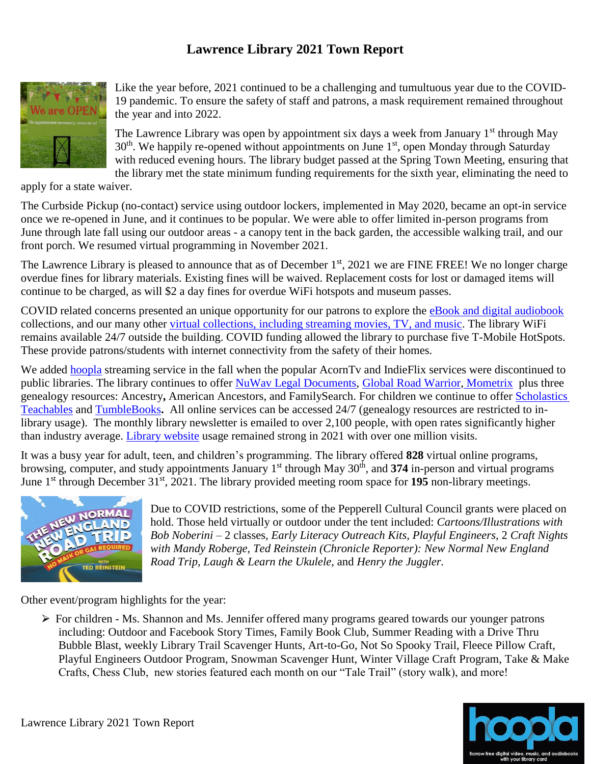## **Lawrence Library 2021 Town Report**



Like the year before, 2021 continued to be a challenging and tumultuous year due to the COVID-19 pandemic. To ensure the safety of staff and patrons, a mask requirement remained throughout the year and into 2022.

The Lawrence Library was open by appointment six days a week from January  $1<sup>st</sup>$  through May  $30<sup>th</sup>$ . We happily re-opened without appointments on June 1<sup>st</sup>, open Monday through Saturday with reduced evening hours. The library budget passed at the Spring Town Meeting, ensuring that the library met the state minimum funding requirements for the sixth year, eliminating the need to

apply for a state waiver.

The Curbside Pickup (no-contact) service using outdoor lockers, implemented in May 2020, became an opt-in service once we re-opened in June, and it continues to be popular. We were able to offer limited in-person programs from June through late fall using our outdoor areas - a canopy tent in the back garden, the accessible walking trail, and our front porch. We resumed virtual programming in November 2021.

The Lawrence Library is pleased to announce that as of December 1<sup>st</sup>, 2021 we are FINE FREE! We no longer charge overdue fines for library materials. Existing fines will be waived. Replacement costs for lost or damaged items will continue to be charged, as will \$2 a day fines for overdue WiFi hotspots and museum passes.

COVID related concerns presented an unique opportunity for our patrons to explore the [eBook and digital audiobook](http://lawrencelibrary.org/booklovers/ebooks.htm) collections, and our many other [virtual collections, including streaming movies, TV, and music.](http://lawrencelibrary.org/virtuallibrary/virtuallibrary.htm) The library WiFi remains available 24/7 outside the building. COVID funding allowed the library to purchase five T-Mobile HotSpots. These provide patrons/students with internet connectivity from the safety of their homes.

We added **hoopla** streaming service in the fall when the popular AcornTv and IndieFlix services were discontinued to public libraries. The library continues to offer [NuWav Legal Documents,](https://nuwavlegaldocuments.com/index.php?c=lawrencelibrary) [Global Road Warrior,](http://www.globalroadwarrior.com/directclient_index2.asp?c=lawrencelibrary) [Mometrix](https://portal-mometrixelibrary-com.ezpe.ez.cwmars.org:6143/) plus three genealogy resources: Ancestry**,** American Ancestors, and FamilySearch. For children we continue to offer [Scholastics](https://login.ezpe.ez.cwmars.org:6143/login?url=https://digital.scholastic.com/site/launch/tcb?ucn=600020012)  [Teachables](https://login.ezpe.ez.cwmars.org:6143/login?url=https://digital.scholastic.com/site/launch/tcb?ucn=600020012) and [TumbleBooks](https://www.tumblebooklibrary.com/Home.aspx?categoryID=77)**.** All online services can be accessed 24/7 (genealogy resources are restricted to inlibrary usage). The monthly library newsletter is emailed to over 2,100 people, with open rates significantly higher than industry average. [Library website](http://www.lawrencelibrary.org/) usage remained strong in 2021 with over one million visits.

It was a busy year for adult, teen, and children's programming. The library offered **828** virtual online programs, browsing, computer, and study appointments January 1<sup>st</sup> through May 30<sup>th</sup>, and 374 in-person and virtual programs June 1<sup>st</sup> through December 31<sup>st</sup>, 2021. The library provided meeting room space for 195 non-library meetings.



Due to COVID restrictions, some of the Pepperell Cultural Council grants were placed on hold. Those held virtually or outdoor under the tent included: *Cartoons/Illustrations with Bob Noberini –* 2 classes*, Early Literacy Outreach Kits, Playful Engineers,* 2 *Craft Nights with Mandy Roberge, Ted Reinstein (Chronicle Reporter): New Normal New England Road Trip, Laugh & Learn the Ukulele,* and *Henry the Juggler.*

Other event/program highlights for the year:

⮚ For children - Ms. Shannon and Ms. Jennifer offered many programs geared towards our younger patrons including: Outdoor and Facebook Story Times, Family Book Club, Summer Reading with a Drive Thru Bubble Blast, weekly Library Trail Scavenger Hunts, Art-to-Go, Not So Spooky Trail, Fleece Pillow Craft, Playful Engineers Outdoor Program, Snowman Scavenger Hunt, Winter Village Craft Program, Take & Make Crafts, Chess Club, new stories featured each month on our "Tale Trail" (story walk), and more!

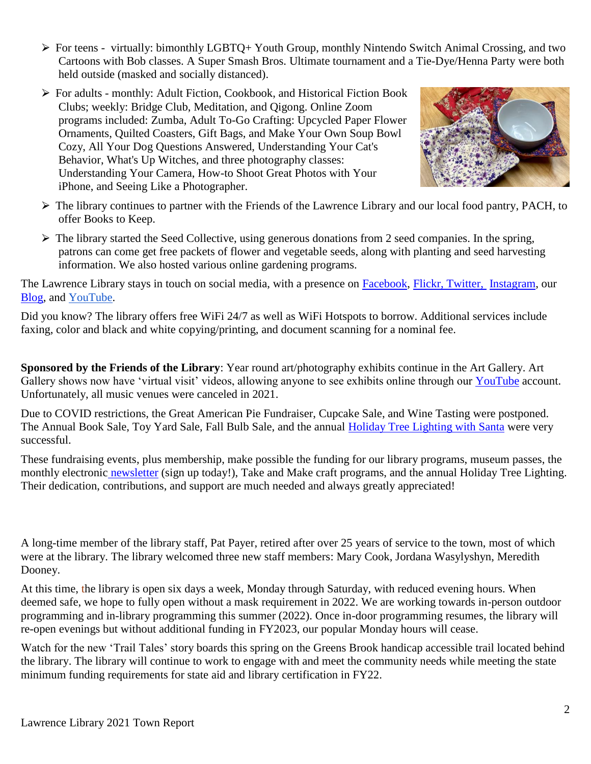- ⮚ For teens virtually: bimonthly LGBTQ+ Youth Group, monthly Nintendo Switch Animal Crossing, and two Cartoons with Bob classes. A Super Smash Bros. Ultimate tournament and a Tie-Dye/Henna Party were both held outside (masked and socially distanced).
- $\triangleright$  For adults monthly: Adult Fiction, Cookbook, and Historical Fiction Book Clubs; weekly: Bridge Club, Meditation, and Qigong. Online Zoom programs included: Zumba, Adult To-Go Crafting: Upcycled Paper Flower Ornaments, Quilted Coasters, Gift Bags, and Make Your Own Soup Bowl Cozy, All Your Dog Questions Answered, Understanding Your Cat's Behavior, What's Up Witches, and three photography classes: Understanding Your Camera, How-to Shoot Great Photos with Your iPhone, and Seeing Like a Photographer.



- ⮚ The library continues to partner with the Friends of the Lawrence Library and our local food pantry, PACH, to offer Books to Keep.
- $\triangleright$  The library started the Seed Collective, using generous donations from 2 seed companies. In the spring, patrons can come get free packets of flower and vegetable seeds, along with planting and seed harvesting information. We also hosted various online gardening programs.

The Lawrence Library stays in touch on social media, with a presence on [Facebook,](https://www.facebook.com/lawrencelibrary) [Flickr,](http://www.flickr.com/photos/lawrencelibrary/) [Twitter,](https://twitter.com/lawrencelib) [Instagra](https://www.instagram.com/lawrencelibrarypepperell/)m, our [Blog,](https://lawrencelibrarypep.wordpress.com/) and [YouTube.](https://www.youtube.com/channel/UCFROQxiQOlUAK3gM5vMA1Cw?)

Did you know? The library offers free WiFi 24/7 as well as WiFi Hotspots to borrow. Additional services include faxing, color and black and white copying/printing, and document scanning for a nominal fee.

**Sponsored by the Friends of the Library**: Year round art/photography exhibits continue in the Art Gallery. Art Gallery shows now have 'virtual visit' videos, allowing anyone to see exhibits online through our [YouTube](https://www.youtube.com/channel/UCFROQxiQOlUAK3gM5vMA1Cw?) account. Unfortunately, all music venues were canceled in 2021.

Due to COVID restrictions, the Great American Pie Fundraiser, Cupcake Sale, and Wine Tasting were postponed. The Annual Book Sale, Toy Yard Sale, Fall Bulb Sale, and the annual [Holiday Tree Lighting with Santa](https://pepperell.vod.castus.tv/vod/?video=918d6c6c-7126-449c-9961-54b8f2271449) were very successful.

These fundraising events, plus membership, make possible the funding for our library programs, museum passes, the monthly electronic [newsletter](http://visitor.constantcontact.com/manage/optin/ea?v=001dbhkIZY57-DodSQTqT4pIV2ifC5E0DLHUz89K2vAvFkk0wIBPGbNJRwvUPIZlLFWyqVFSRjvMiU=) (sign up today!), Take and Make craft programs, and the annual Holiday Tree Lighting. Their dedication, contributions, and support are much needed and always greatly appreciated!

A long-time member of the library staff, Pat Payer, retired after over 25 years of service to the town, most of which were at the library. The library welcomed three new staff members: Mary Cook, Jordana Wasylyshyn, Meredith Dooney.

At this time, the library is open six days a week, Monday through Saturday, with reduced evening hours. When deemed safe, we hope to fully open without a mask requirement in 2022. We are working towards in-person outdoor programming and in-library programming this summer (2022). Once in-door programming resumes, the library will re-open evenings but without additional funding in FY2023, our popular Monday hours will cease.

Watch for the new 'Trail Tales' story boards this spring on the Greens Brook handicap accessible trail located behind the library. The library will continue to work to engage with and meet the community needs while meeting the state minimum funding requirements for state aid and library certification in FY22.